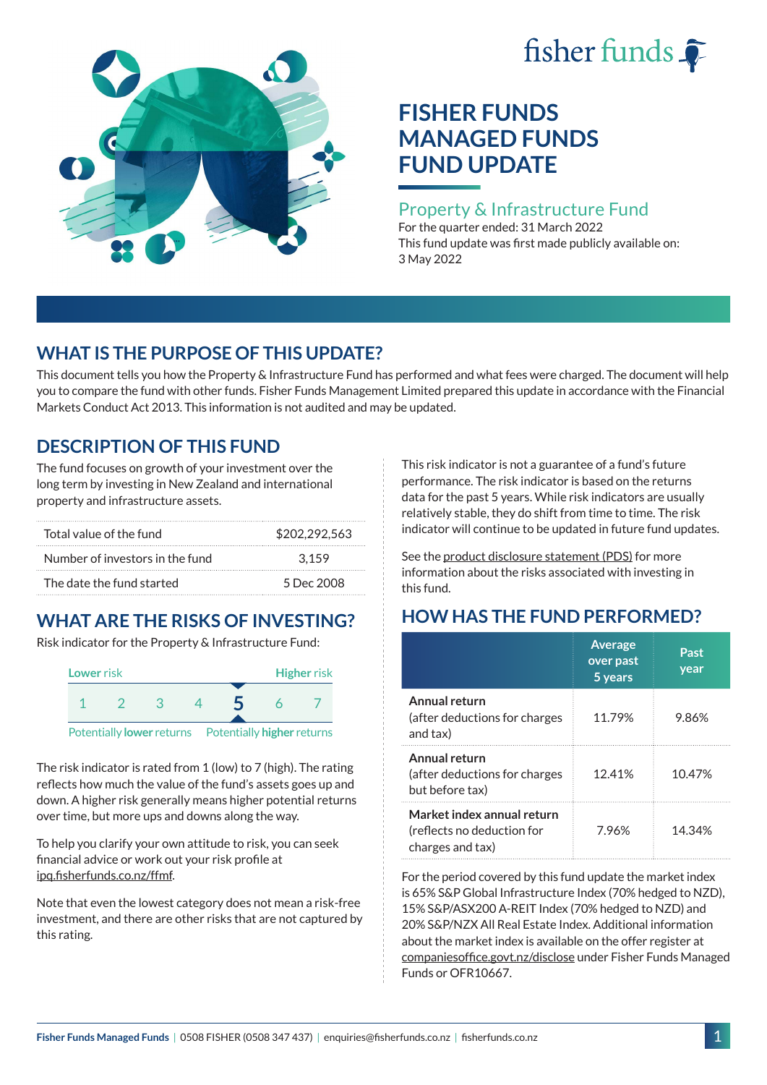# fisher funds  $\hat{\bullet}$



# **FISHER FUNDS MANAGED FUNDS FUND UPDATE**

## Property & Infrastructure Fund

For the quarter ended: 31 March 2022 This fund update was first made publicly available on: 3 May 2022

## **WHAT IS THE PURPOSE OF THIS UPDATE?**

This document tells you how the Property & Infrastructure Fund has performed and what fees were charged. The document will help you to compare the fund with other funds. Fisher Funds Management Limited prepared this update in accordance with the Financial Markets Conduct Act 2013. This information is not audited and may be updated.

## **DESCRIPTION OF THIS FUND**

The fund focuses on growth of your investment over the long term by investing in New Zealand and international property and infrastructure assets.

| Total value of the fund         | \$202.292.563 |
|---------------------------------|---------------|
| Number of investors in the fund | 3.159         |
| The date the fund started       | 5 Dec 2008    |

# **WHAT ARE THE RISKS OF INVESTING?**

Risk indicator for the Property & Infrastructure Fund:



The risk indicator is rated from 1 (low) to 7 (high). The rating reflects how much the value of the fund's assets goes up and down. A higher risk generally means higher potential returns over time, but more ups and downs along the way.

To help you clarify your own attitude to risk, you can seek financial advice or work out your risk profile at [ipq.fisherfunds.co.nz/ffmf](https://ipq.fisherfunds.co.nz/ffmf).

Note that even the lowest category does not mean a risk-free investment, and there are other risks that are not captured by this rating.

This risk indicator is not a guarantee of a fund's future performance. The risk indicator is based on the returns data for the past 5 years. While risk indicators are usually relatively stable, they do shift from time to time. The risk indicator will continue to be updated in future fund updates.

See the [product disclosure statement \(PDS\)](https://fisherfunds.co.nz/assets/PDS/Fisher-Funds-Managed-Funds-PDS.pdf) for more information about the risks associated with investing in this fund.

# **HOW HAS THE FUND PERFORMED?**

|                                                                              | <b>Average</b><br>over past<br>5 years | Past<br>year |
|------------------------------------------------------------------------------|----------------------------------------|--------------|
| Annual return<br>(after deductions for charges<br>and tax)                   | 11.79%                                 | 9.86%        |
| Annual return<br>(after deductions for charges<br>but before tax)            | 12.41%                                 | 10.47%       |
| Market index annual return<br>(reflects no deduction for<br>charges and tax) | 7.96%                                  | 14.34%       |

For the period covered by this fund update the market index is 65% S&P Global Infrastructure Index (70% hedged to NZD), 15% S&P/ASX200 A-REIT Index (70% hedged to NZD) and 20% S&P/NZX All Real Estate Index. Additional information about the market index is available on the offer register at [companiesoffice.govt.nz/disclose](http://companiesoffice.govt.nz/disclose) under Fisher Funds Managed Funds or OFR10667.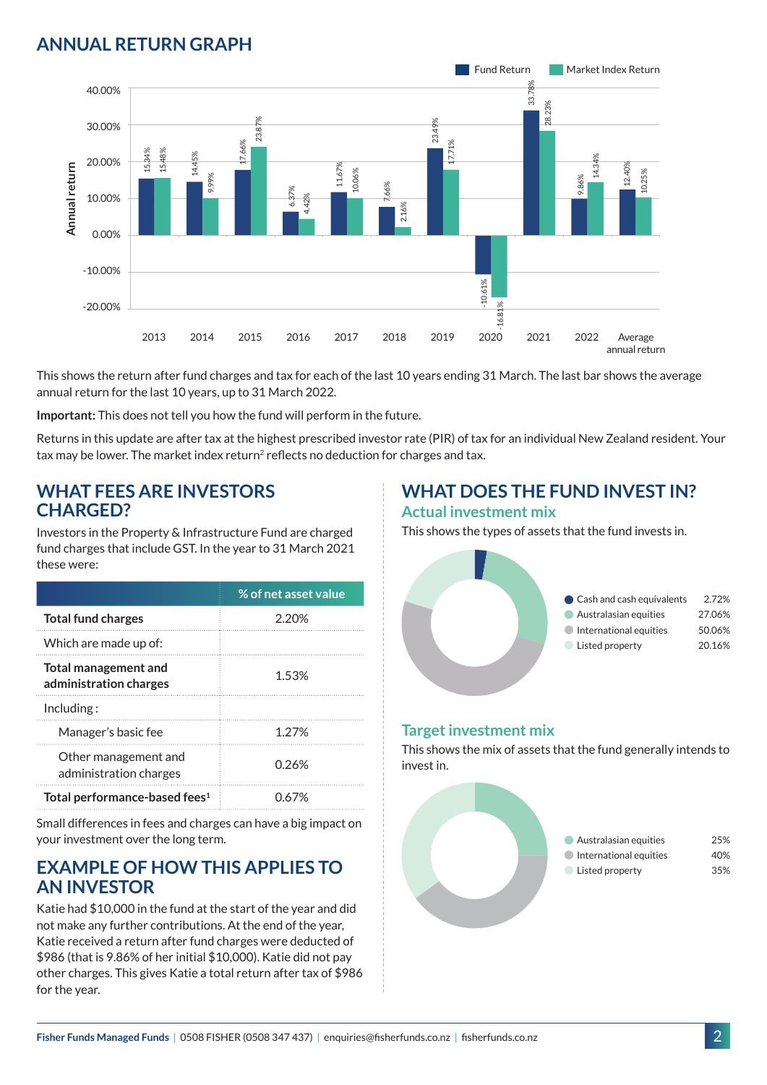## **ANNUAL RETURN GRAPH**



This shows the return after fund charges and tax for each of the last 10 years ending 31 March. The last bar shows the average annual return for the last 10 years, up to 31 March 2022.

**Important:** This does not tell you how the fund will perform in the future.

Returns in this update are after tax at the highest prescribed investor rate (PIR) of tax for an individual New Zealand resident. Your tax may be lower. The market index return<sup>2</sup> reflects no deduction for charges and tax.

#### **WHAT FEES ARE INVESTORS CHARGED?**

Investors in the Property & Infrastructure Fund are charged fund charges that include GST. In the year to 31 March 2021 these were:

|                                                | % of net asset value |
|------------------------------------------------|----------------------|
| <b>Total fund charges</b>                      | 2.20%                |
| Which are made up of:                          |                      |
| Total management and<br>administration charges | 1.53%                |
| Inding:                                        |                      |
| Manager's basic fee                            | 1 2 7 %              |
| Other management and<br>administration charges | 0.26%                |
| Total performance-based fees <sup>1</sup>      | በ 67%                |

Small differences in fees and charges can have a big impact on your investment over the long term.

### **EXAMPLE OF HOW THIS APPLIES TO AN INVESTOR**

Katie had \$10,000 in the fund at the start of the year and did not make any further contributions. At the end of the year, Katie received a return after fund charges were deducted of \$986 (that is 9.86% of her initial \$10,000). Katie did not pay other charges. This gives Katie a total return after tax of \$986 for the year.

# **WHAT DOES THE FUND INVEST IN?**

#### **Actual investment mix**

This shows the types of assets that the fund invests in.



#### **Target investment mix**

This shows the mix of assets that the fund generally intends to invest in.